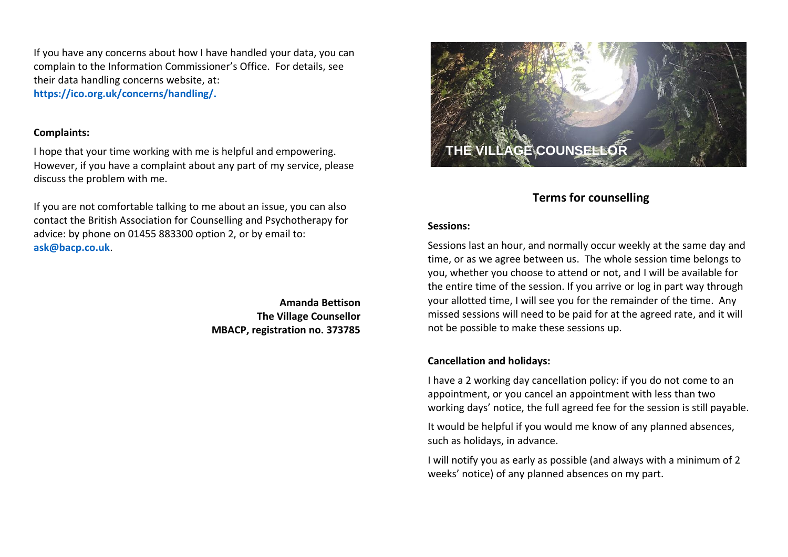If you have any concerns about how I have handled your data, you can complain to the Information Commissioner's Office. For details, see their data handling concerns website, at: **https://ico.org.uk/concerns/handling/.**

## **Complaints:**

I hope that your time working with me is helpful and empowering. However, if you have a complaint about any part of my service, please discuss the problem with me.

If you are not comfortable talking to me about an issue, you can also contact the British Association for Counselling and Psychotherapy for advice: by phone on 01455 883300 option 2, or by email to: **[ask@bacp.co.uk](mailto:ask@bacp.co.uk)**.

> **Amanda Bettison The Village Counsellor MBACP, registration no. 373785**



# **Terms for counselling**

## **Sessions:**

Sessions last an hour, and normally occur weekly at the same day and time, or as we agree between us. The whole session time belongs to you, whether you choose to attend or not, and I will be available for the entire time of the session. If you arrive or log in part way through your allotted time, I will see you for the remainder of the time. Any missed sessions will need to be paid for at the agreed rate, and it will not be possible to make these sessions up.

## **Cancellation and holidays:**

I have a 2 working day cancellation policy: if you do not come to an appointment, or you cancel an appointment with less than two working days' notice, the full agreed fee for the session is still payable.

It would be helpful if you would me know of any planned absences, such as holidays, in advance.

I will notify you as early as possible (and always with a minimum of 2 weeks' notice) of any planned absences on my part.